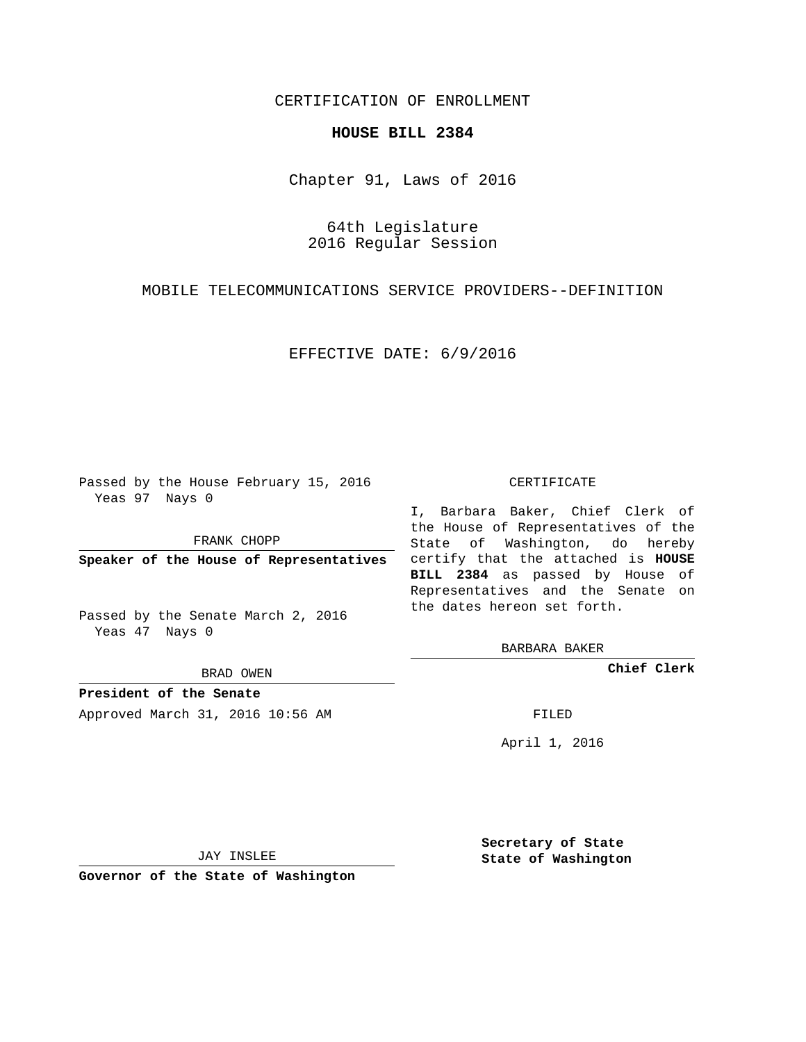# CERTIFICATION OF ENROLLMENT

### **HOUSE BILL 2384**

Chapter 91, Laws of 2016

# 64th Legislature 2016 Regular Session

MOBILE TELECOMMUNICATIONS SERVICE PROVIDERS--DEFINITION

#### EFFECTIVE DATE: 6/9/2016

Passed by the House February 15, 2016 Yeas 97 Nays 0

FRANK CHOPP

Passed by the Senate March 2, 2016 Yeas 47 Nays 0

BRAD OWEN

**President of the Senate**

Approved March 31, 2016 10:56 AM FILED

#### CERTIFICATE

**Speaker of the House of Representatives** certify that the attached is **HOUSE** I, Barbara Baker, Chief Clerk of the House of Representatives of the State of Washington, do hereby **BILL 2384** as passed by House of Representatives and the Senate on the dates hereon set forth.

BARBARA BAKER

**Chief Clerk**

April 1, 2016

JAY INSLEE

**Governor of the State of Washington**

**Secretary of State State of Washington**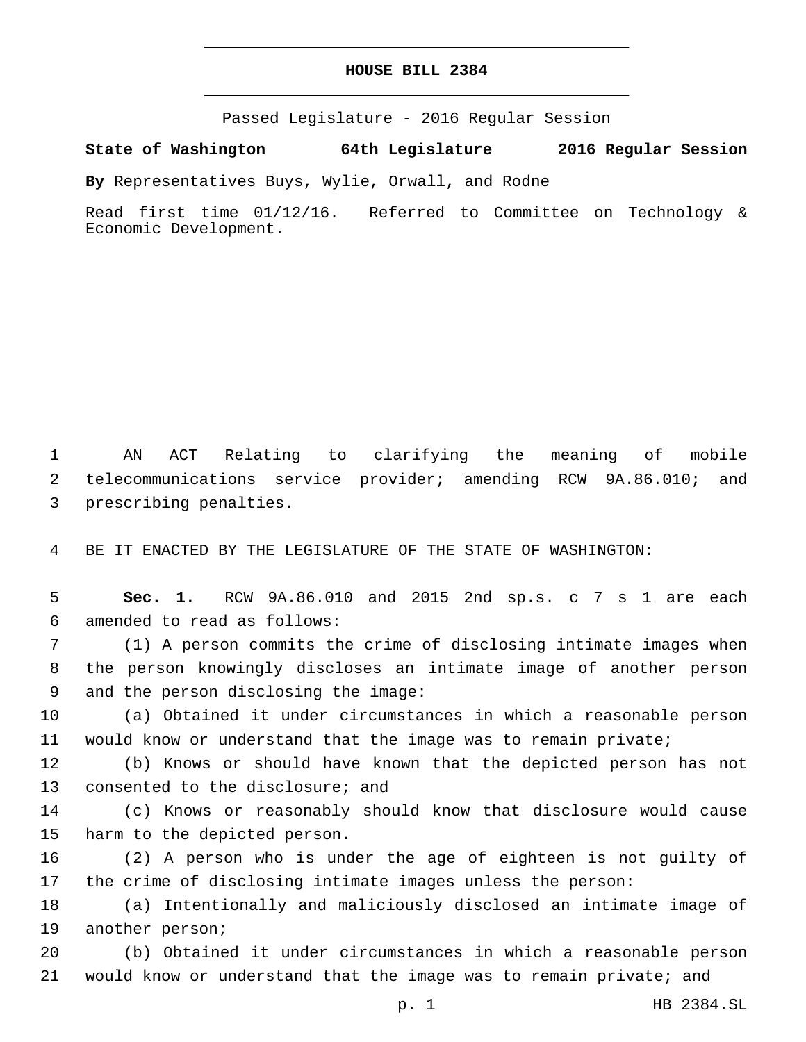# **HOUSE BILL 2384**

Passed Legislature - 2016 Regular Session

**State of Washington 64th Legislature 2016 Regular Session**

**By** Representatives Buys, Wylie, Orwall, and Rodne

Read first time 01/12/16. Referred to Committee on Technology & Economic Development.

1 AN ACT Relating to clarifying the meaning of mobile 2 telecommunications service provider; amending RCW 9A.86.010; and 3 prescribing penalties.

4 BE IT ENACTED BY THE LEGISLATURE OF THE STATE OF WASHINGTON:

5 **Sec. 1.** RCW 9A.86.010 and 2015 2nd sp.s. c 7 s 1 are each 6 amended to read as follows:

7 (1) A person commits the crime of disclosing intimate images when 8 the person knowingly discloses an intimate image of another person 9 and the person disclosing the image:

10 (a) Obtained it under circumstances in which a reasonable person 11 would know or understand that the image was to remain private;

12 (b) Knows or should have known that the depicted person has not 13 consented to the disclosure; and

14 (c) Knows or reasonably should know that disclosure would cause 15 harm to the depicted person.

16 (2) A person who is under the age of eighteen is not guilty of 17 the crime of disclosing intimate images unless the person:

18 (a) Intentionally and maliciously disclosed an intimate image of 19 another person;

20 (b) Obtained it under circumstances in which a reasonable person 21 would know or understand that the image was to remain private; and

p. 1 HB 2384.SL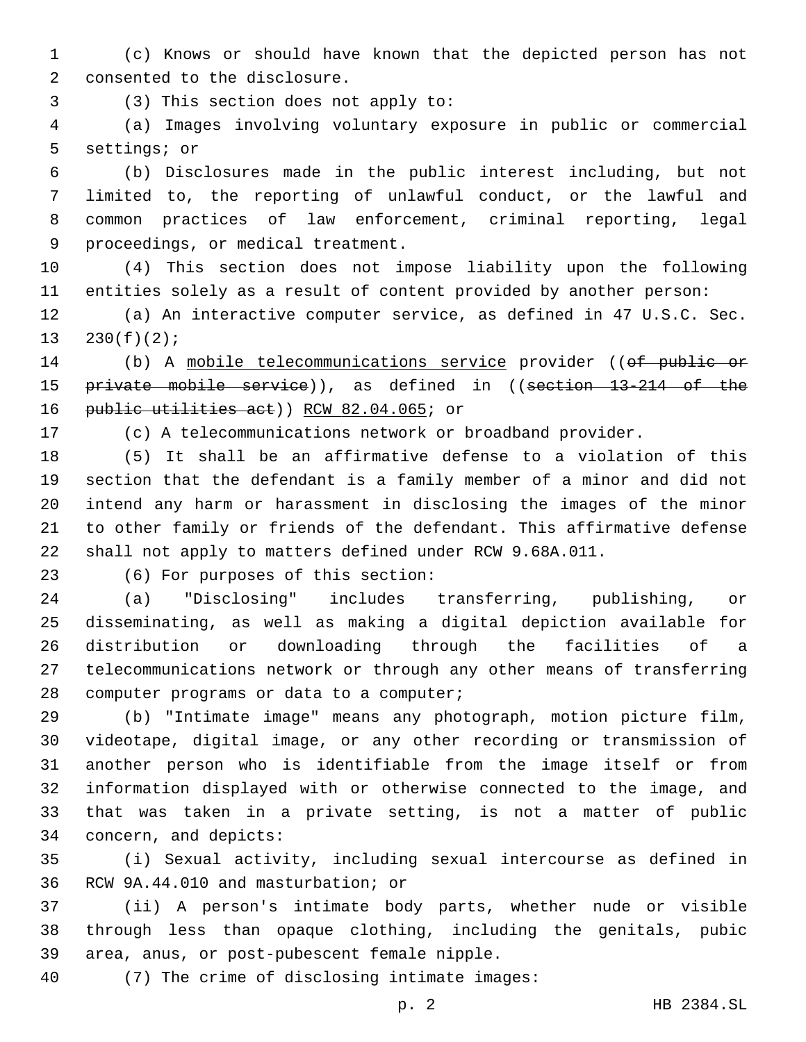(c) Knows or should have known that the depicted person has not 2 consented to the disclosure.

(3) This section does not apply to:3

 (a) Images involving voluntary exposure in public or commercial 5 settings; or

 (b) Disclosures made in the public interest including, but not limited to, the reporting of unlawful conduct, or the lawful and common practices of law enforcement, criminal reporting, legal 9 proceedings, or medical treatment.

 (4) This section does not impose liability upon the following entities solely as a result of content provided by another person:

 (a) An interactive computer service, as defined in 47 U.S.C. Sec. 13  $230(f)(2)$ ;

14 (b) A mobile telecommunications service provider ((of public or private mobile service)), as defined in ((section 13-214 of the 16 public utilities act)) RCW 82.04.065; or

(c) A telecommunications network or broadband provider.

 (5) It shall be an affirmative defense to a violation of this section that the defendant is a family member of a minor and did not intend any harm or harassment in disclosing the images of the minor to other family or friends of the defendant. This affirmative defense shall not apply to matters defined under RCW 9.68A.011.

23 (6) For purposes of this section:

 (a) "Disclosing" includes transferring, publishing, or disseminating, as well as making a digital depiction available for distribution or downloading through the facilities of a telecommunications network or through any other means of transferring 28 computer programs or data to a computer;

 (b) "Intimate image" means any photograph, motion picture film, videotape, digital image, or any other recording or transmission of another person who is identifiable from the image itself or from information displayed with or otherwise connected to the image, and that was taken in a private setting, is not a matter of public 34 concern, and depicts:

 (i) Sexual activity, including sexual intercourse as defined in 36 RCW 9A.44.010 and masturbation; or

 (ii) A person's intimate body parts, whether nude or visible through less than opaque clothing, including the genitals, pubic 39 area, anus, or post-pubescent female nipple.

(7) The crime of disclosing intimate images:40